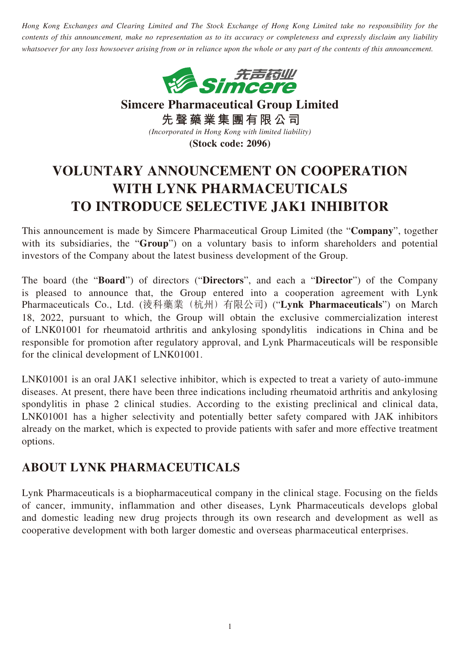*Hong Kong Exchanges and Clearing Limited and The Stock Exchange of Hong Kong Limited take no responsibility for the contents of this announcement, make no representation as to its accuracy or completeness and expressly disclaim any liability whatsoever for any loss howsoever arising from or in reliance upon the whole or any part of the contents of this announcement.*



**Simcere Pharmaceutical Group Limited 先聲藥業集團有限公司** *(Incorporated in Hong Kong with limited liability)* **(Stock code: 2096)**

## **VOLUNTARY ANNOUNCEMENT ON COOPERATION WITH LYNK PHARMACEUTICALS TO INTRODUCE SELECTIVE JAK1 INHIBITOR**

This announcement is made by Simcere Pharmaceutical Group Limited (the "**Company**", together with its subsidiaries, the "**Group**") on a voluntary basis to inform shareholders and potential investors of the Company about the latest business development of the Group.

The board (the "**Board**") of directors ("**Directors**", and each a "**Director**") of the Company is pleased to announce that, the Group entered into a cooperation agreement with Lynk Pharmaceuticals Co., Ltd. (淩科藥業(杭州)有限公司) ("**Lynk Pharmaceuticals**") on March 18, 2022, pursuant to which, the Group will obtain the exclusive commercialization interest of LNK01001 for rheumatoid arthritis and ankylosing spondylitis indications in China and be responsible for promotion after regulatory approval, and Lynk Pharmaceuticals will be responsible for the clinical development of LNK01001.

LNK01001 is an oral JAK1 selective inhibitor, which is expected to treat a variety of auto-immune diseases. At present, there have been three indications including rheumatoid arthritis and ankylosing spondylitis in phase 2 clinical studies. According to the existing preclinical and clinical data, LNK01001 has a higher selectivity and potentially better safety compared with JAK inhibitors already on the market, which is expected to provide patients with safer and more effective treatment options.

## **ABOUT LYNK PHARMACEUTICALS**

Lynk Pharmaceuticals is a biopharmaceutical company in the clinical stage. Focusing on the fields of cancer, immunity, inflammation and other diseases, Lynk Pharmaceuticals develops global and domestic leading new drug projects through its own research and development as well as cooperative development with both larger domestic and overseas pharmaceutical enterprises.